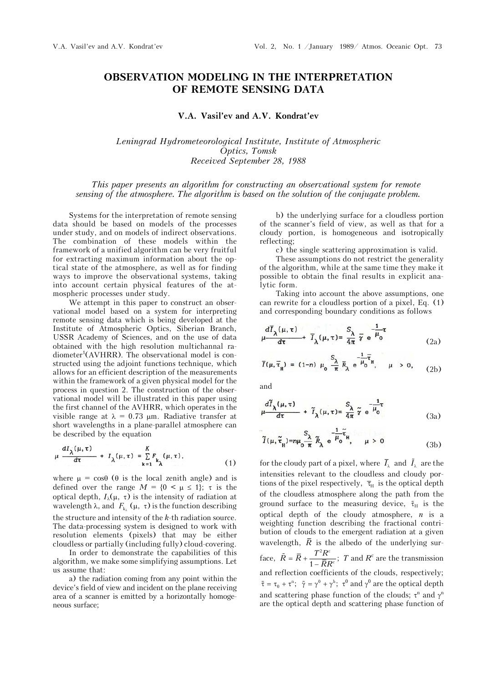## **OBSERVATION MODELING IN THE INTERPRETATION OF REMOTE SENSING DATA**

**V.A. Vasil'ev and A.V. Kondrat'ev** 

*Leningrad Hydrometeorological Institute, Institute of Atmospheric Optics, Tomsk Received September 28, 1988* 

## *This paper presents an algorithm for constructing an observational system for remote sensing of the atmosphere. The algorithm is based on the solution of the conjugate problem.*

Systems for the interpretation of remote sensing data should be based on models of the processes under study, and on models of indirect observations. The combination of these models within the framework of a unified algorithm can be very fruitful for extracting maximum information about the optical state of the atmosphere, as well as for finding ways to improve the observational systems, taking into account certain physical features of the atmospheric processes under study.

We attempt in this paper to construct an observational model based on a system for interpreting remote sensing data which is being developed at the Institute of Atmospheric Optics, Siberian Branch, USSR Academy of Sciences, and on the use of data obtained with the high resolution multichannal radiometer<sup>1</sup>(AVHRR). The observational model is constructed using the adjoint functions technique, which allows for an efficient description of the measurements within the framework of a given physical model for the process in question 2. The construction of the observational model will be illustrated in this paper using the first channel of the AVHRR, which operates in the visible range at  $\lambda = 0.73$  µm. Radiative transfer at short wavelengths in a plane-parallel atmosphere can be described by the equation

$$
\mu \frac{dI_{\lambda}(\mu, \tau)}{d\tau} + I_{\lambda}(\mu, \tau) = \sum_{k=1}^{K} F_{k_{\lambda}}(\mu, \tau), \qquad (1)
$$

where  $\mu = \cos\theta$  ( $\theta$  is the local zenith angle) and is defined over the range  $M = \{0 \le \mu \le 1\}$ ;  $\tau$  is the optical depth,  $I_{\lambda}(\mu, \tau)$  is the intensity of radiation at wavelength  $\lambda$ , and  $F_k$  ( $\mu$ ,  $\tau$ ) is the function describing the structure and intensity of the *k*-th radiation source. The data-processing system is designed to work with resolution elements (pixels) that may be either cloudless or partially (including fully) cloud-covering.

In order to demonstrate the capabilities of this algorithm, we make some simplifying assumptions. Let us assume that:

a) the radiation coming from any point within the device's field of view and incident on the plane receiving area of a scanner is emitted by a horizontally homogeneous surface;

b) the underlying surface for a cloudless portion of the scanner's field of view, as well as that for a cloudy portion, is homogeneous and isotropically reflecting;

c) the single scattering approximation is valid.

These assumptions do not restrict the generality of the algorithm, while at the same time they make it possible to obtain the final results in explicit analytic form.

Taking into account the above assumptions, one can rewrite for a cloudless portion of a pixel, Eq. (1) and corresponding boundary conditions as follows

$$
\mu \frac{d\overline{I}_{\lambda}(\mu,\tau)}{d\tau} + \overline{I}_{\lambda}(\mu,\tau) = \frac{S_{\lambda}}{4\pi} \overline{\gamma} e^{-\frac{1}{\mu} \tau}
$$
\n(2a)

$$
\overline{I}(\mu, \overline{\tau}_{\mu}) = (1-n) \mu_0 \frac{S_{\lambda}}{\pi} \overline{R}_{\lambda} e^{-\frac{1}{\mu_0} \overline{\tau}_{\mu}}, \quad \mu > 0, \quad (2b)
$$

and

$$
\mu \frac{d\widetilde{I}_{\lambda}(\mu,\tau)}{d\tau} + \widetilde{I}_{\lambda}(\mu,\tau) = \frac{S_{\lambda}}{4\pi} \widetilde{\gamma} e^{-\frac{1}{\mu} \tau}
$$
(3a)

$$
\tilde{I}(\mu, \tilde{\tau}_{\mu}) = n\mu_0 \frac{S_{\lambda}}{\pi} \tilde{R}_{\lambda} e^{-\frac{1}{\mu_0} \tilde{\tau}_{\mu}}, \quad \mu > 0
$$
\n(3b)

for the cloudy part of a pixel, where  $\bar{I}_{\lambda}$  and  $\tilde{I}_{\lambda}$  are the intensities relevant to the cloudless and cloudy portions of the pixel respectively,  $\bar{\tau}_{H}$  is the optical depth of the cloudless atmosphere along the path from the ground surface to the measuring device,  $\tilde{\tau}_{H}$  is the optical depth of the cloudy atmosphere, *n* is a weighting function describing the fractional contribution of clouds to the emergent radiation at a given wavelength,  $\overline{R}$  is the albedo of the underlying surface,  $\tilde{R} = \overline{R} + \frac{T^2 R^c}{1 - \overline{R} R^c}$ ; *T* and  $R^c$  are the transmission and reflection coefficients of the clouds, respectively;  $\tilde{\tau} = \tau_0 + \tau^n$ ;  $\tilde{\gamma} = \gamma^0 + \gamma^h$ ;  $\tau^0$  and  $\gamma^0$  are the optical depth and scattering phase function of the clouds;  $\tau^n$  and  $\gamma^n$ are the optical depth and scattering phase function of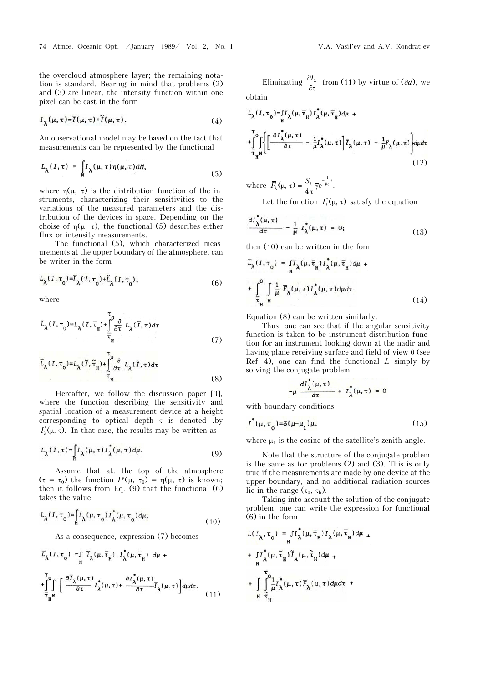the overcloud atmosphere layer; the remaining notation is standard. Bearing in mind that problems (2) and (3) are linear, the intensity function within one pixel can be cast in the form

$$
I_{\lambda}(\mu,\tau)=\overline{I}(\mu,\tau)+\widetilde{I}(\mu,\tau). \tag{4}
$$

An observational model may be based on the fact that measurements can be represented by the functional

$$
L_{\lambda}(I,\tau) = \int_{M} I_{\lambda}(\mu,\tau)\eta(\mu,\tau)dM,
$$
\n(5)

where  $\eta(\mu, \tau)$  is the distribution function of the instruments, characterizing their sensitivities to the variations of the measured parameters and the distribution of the devices in space. Depending on the choise of  $\eta(\mu, \tau)$ , the functional (5) describes either flux or intensity measurements.

The functional (5), which characterized measurements at the upper boundary of the atmosphere, can be writer in the form

$$
L_{\lambda}(I, \tau_0) = \overline{L}_{\lambda}(I, \tau_0) + \widetilde{L}_{\lambda}(I, \tau_0), \tag{6}
$$

where

$$
\overline{L}_{\lambda}(I,\tau_{0}) = L_{\lambda}(\overline{I},\overline{\tau}_{H}) + \int_{\overline{\tau}_{H}}^{0} \frac{\partial}{\partial \tau} L_{\lambda}(\overline{I},\tau) d\tau
$$
\n(7)

$$
\widetilde{L}_{\lambda}(I, \tau_{0}) = L_{\lambda}(\widetilde{I}, \widetilde{\tau}_{H}) + \int_{\widetilde{\tau}_{H}}^{0} \frac{\partial}{\partial \tau} L_{\lambda}(\widetilde{I}, \tau) d\tau
$$
\n(8)

Hereafter, we follow the discussion paper [3], where the function describing the sensitivity and spatial location of a measurement device at a height corresponding to optical depth  $\tau$  is denoted .by  $I_{\iota}^*(\mu, \tau)$ . In that case, the results may be written as

$$
L_{\lambda}(I,\tau) = \int_{\mathfrak{h}} I_{\lambda}(\mu,\tau) I_{\lambda}^*(\mu,\tau) d\mu.
$$
 (9)

Assume that at. the top of the atmosphere  $(\tau = \tau_0)$  the function  $I^*(\mu, \tau_0) = \eta(\mu, \tau)$  is known; then it follows from Eq. (9) that the functional (6) takes the value

$$
L_{\lambda}(I, \tau_0) = \int_{\mathfrak{h}} I_{\lambda}(\mu, \tau_0) I_{\lambda}^{\dagger}(\mu, \tau_0) d\mu,
$$
\n(10)

As a consequence, expression (7) becomes

$$
\overline{L}_{\lambda}(I, \tau_{0}) = \int_{\mathbf{H}} \overline{I}_{\lambda}(\mu, \overline{\tau}_{\mathbf{H}}) I_{\lambda}(\mu, \overline{\tau}_{\mathbf{H}}) d\mu +
$$
\n
$$
+ \int_{\overline{\tau}_{\mathbf{H}}^{\mathbf{H}}} \int_{\overline{\tau}} \left[ \frac{\partial \overline{I}_{\lambda}(\mu, \tau)}{\partial \tau} I_{\lambda}^{\dagger}(\mu, \tau) + \frac{\partial I_{\lambda}^{\dagger}(\mu, \tau)}{\partial \tau} \overline{I}_{\lambda}(\mu, \tau) \right] d\mu d\tau.
$$
\n(11)

Eliminating  $\frac{\partial I_{\lambda}}{\partial \tau}$  from (11) by virtue of ( $\partial a$ ), we

obtain

$$
\bar{L}_{\lambda}(I, \tau_{0}) = \int_{\mathbf{H}} \bar{T}_{\lambda}(\mu, \bar{\tau}_{\mathbf{H}}) I_{\lambda}^{\dagger}(\mu, \bar{\tau}_{\mathbf{H}}) d\mu + \int_{\bar{T}_{\lambda}}^{\tau_{0}} \left\{ \left[ \frac{\partial I_{\lambda}^{\dagger}(\mu, \tau)}{\partial \tau} - \frac{1}{\mu} I_{\lambda}^{\dagger}(\mu, \tau) \right] \overline{I}_{\lambda}(\mu, \tau) + \frac{1}{\mu} \overline{F}_{\lambda}(\mu, \tau) \right\} d\mu d\tau
$$
\n(12)

where  $F_{\lambda}(\mu, \tau) = \frac{\omega_{\lambda}}{I} \overline{\gamma} e^{\mu \alpha}$ 1  $\overline{F}_{\lambda}(\mu, \tau) = \frac{S_{\lambda}}{4\pi} \overline{\gamma} e^{-\frac{1}{\mu_0}\tau}.$ 

Let the function  $I^*_{\lambda}(\mu, \tau)$  satisfy the equation

$$
\frac{dI_{\lambda}^*(\mu,\tau)}{d\tau} - \frac{1}{\mu} I_{\lambda}^*(\mu,\tau) = 0; \qquad (13)
$$

then (10) can be written in the form

$$
\overline{L}_{\lambda}(I, \tau_{0}) = \int_{\mathbf{M}} \overline{I}_{\lambda}(\mu, \overline{\tau}_{\mu}) I_{\lambda}^{\dagger}(\mu, \overline{\tau}_{\mu}) d\mu +
$$
  
+ 
$$
\int_{\overline{\tau}_{\mu}}^{0} \int_{\mathbf{M}} \frac{1}{\mu} \overline{F}_{\lambda}(\mu, \tau) I_{\lambda}^{\dagger}(\mu, \tau) d\mu d\tau.
$$
 (14)

Equation (8) can be written similarly.

Thus, one can see that if the angular sensitivity function is taken to be instrument distribution function for an instrument looking down at the nadir and having plane receiving surface and field of view  $\theta$  (see Ref. 4), one can find the functional *L* simply by solving the conjugate problem

$$
-\mu \frac{dI_{\lambda}(\mu,\tau)}{d\tau} + I_{\lambda}(\mu,\tau) = 0
$$

with boundary conditions

$$
I^*(\mu, \tau_o) = \delta(\mu - \mu_1)\mu,\tag{15}
$$

where  $\mu_1$  is the cosine of the satellite's zenith angle.

Note that the structure of the conjugate problem is the same as for problems (2) and (3). This is only true if the measurements are made by one device at the upper boundary, and no additional radiation sources lie in the range  $(\tau_0, \tau_h)$ .

Taking into account the solution of the conjugate problem, one can write the expression for functional  $(6)$  in the form

$$
L(I_{\lambda}, \tau_{0}) = \int_{N} I_{\lambda}^{*}(\mu, \overline{\tau}_{H}) \overline{I}_{\lambda}(\mu, \overline{\tau}_{H}) d\mu +
$$
  
+ 
$$
\int_{N} I_{\lambda}^{*}(\mu, \widetilde{\tau}_{H}) \widetilde{I}_{\lambda}(\mu, \widetilde{\tau}_{H}) d\mu +
$$
  
+ 
$$
\int_{N} \int_{\widetilde{\tau}_{H}}^{T_{0}} \frac{1}{\mu} I_{\lambda}^{*}(\mu, \tau) \overline{F}_{\lambda}(\mu, \tau) d\mu d\tau +
$$